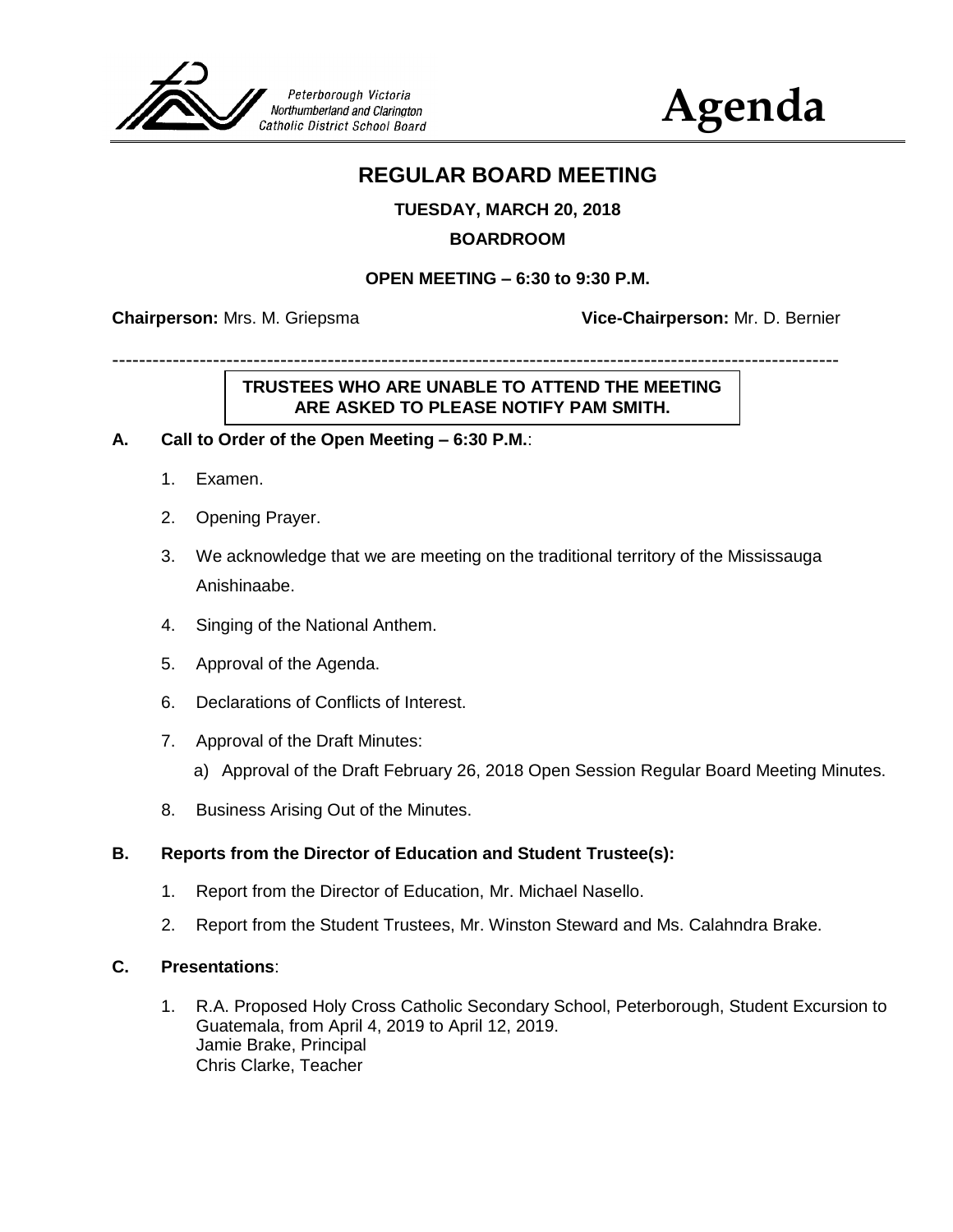

# **Agenda**

## **REGULAR BOARD MEETING**

#### **TUESDAY, MARCH 20, 2018**

#### **BOARDROOM**

#### **OPEN MEETING – 6:30 to 9:30 P.M.**

------------------------------------------------------------------------------------------------------------

**Chairperson:** Mrs. M. Griepsma **Vice-Chairperson:** Mr. D. Bernier

## **TRUSTEES WHO ARE UNABLE TO ATTEND THE MEETING ARE ASKED TO PLEASE NOTIFY PAM SMITH.**

#### **A. Call to Order of the Open Meeting – 6:30 P.M.**:

- 1. Examen.
- 2. Opening Prayer.
- 3. We acknowledge that we are meeting on the traditional territory of the Mississauga Anishinaabe.
- 4. Singing of the National Anthem.
- 5. Approval of the Agenda.
- 6. Declarations of Conflicts of Interest.
- 7. Approval of the Draft Minutes:
	- a) Approval of the Draft February 26, 2018 Open Session Regular Board Meeting Minutes.
- 8. Business Arising Out of the Minutes.

#### **B. Reports from the Director of Education and Student Trustee(s):**

- 1. Report from the Director of Education, Mr. Michael Nasello.
- 2. Report from the Student Trustees, Mr. Winston Steward and Ms. Calahndra Brake.

#### **C. Presentations**:

1. R.A. Proposed Holy Cross Catholic Secondary School, Peterborough, Student Excursion to Guatemala, from April 4, 2019 to April 12, 2019. Jamie Brake, Principal Chris Clarke, Teacher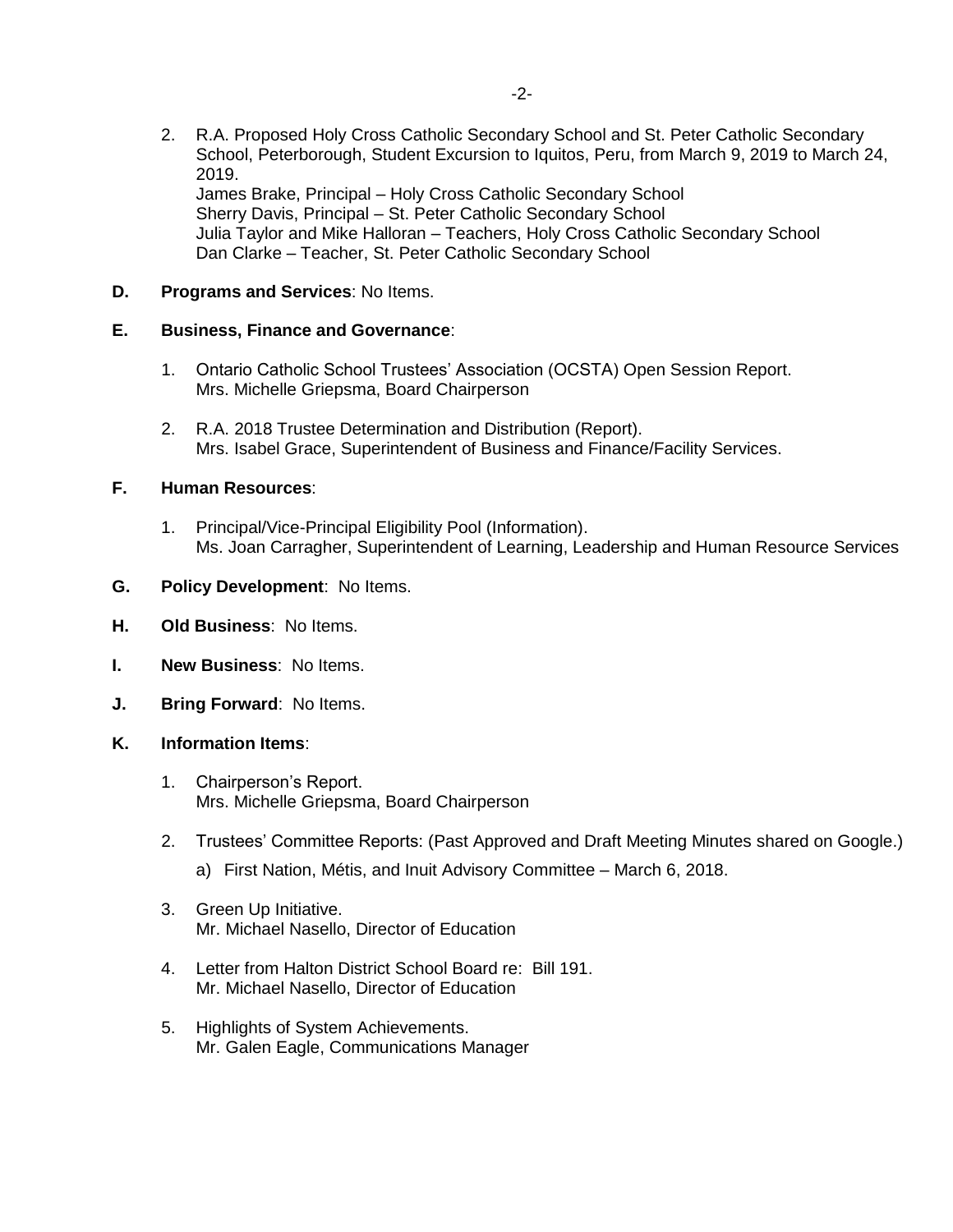2. R.A. Proposed Holy Cross Catholic Secondary School and St. Peter Catholic Secondary School, Peterborough, Student Excursion to Iquitos, Peru, from March 9, 2019 to March 24, 2019. James Brake, Principal – Holy Cross Catholic Secondary School Sherry Davis, Principal – St. Peter Catholic Secondary School Julia Taylor and Mike Halloran – Teachers, Holy Cross Catholic Secondary School Dan Clarke – Teacher, St. Peter Catholic Secondary School

#### **D. Programs and Services**: No Items.

#### **E. Business, Finance and Governance**:

- 1. Ontario Catholic School Trustees' Association (OCSTA) Open Session Report. Mrs. Michelle Griepsma, Board Chairperson
- 2. R.A. 2018 Trustee Determination and Distribution (Report). Mrs. Isabel Grace, Superintendent of Business and Finance/Facility Services.

#### **F. Human Resources**:

1. Principal/Vice-Principal Eligibility Pool (Information). Ms. Joan Carragher, Superintendent of Learning, Leadership and Human Resource Services

#### **G. Policy Development**: No Items.

- **H. Old Business**: No Items.
- **I. New Business**: No Items.
- **J. Bring Forward**: No Items.

#### **K. Information Items**:

- 1. Chairperson's Report. Mrs. Michelle Griepsma, Board Chairperson
- 2. Trustees' Committee Reports: (Past Approved and Draft Meeting Minutes shared on Google.) a) First Nation, Métis, and Inuit Advisory Committee – March 6, 2018.
- 3. Green Up Initiative. Mr. Michael Nasello, Director of Education
- 4. Letter from Halton District School Board re: Bill 191. Mr. Michael Nasello, Director of Education
- 5. Highlights of System Achievements. Mr. Galen Eagle, Communications Manager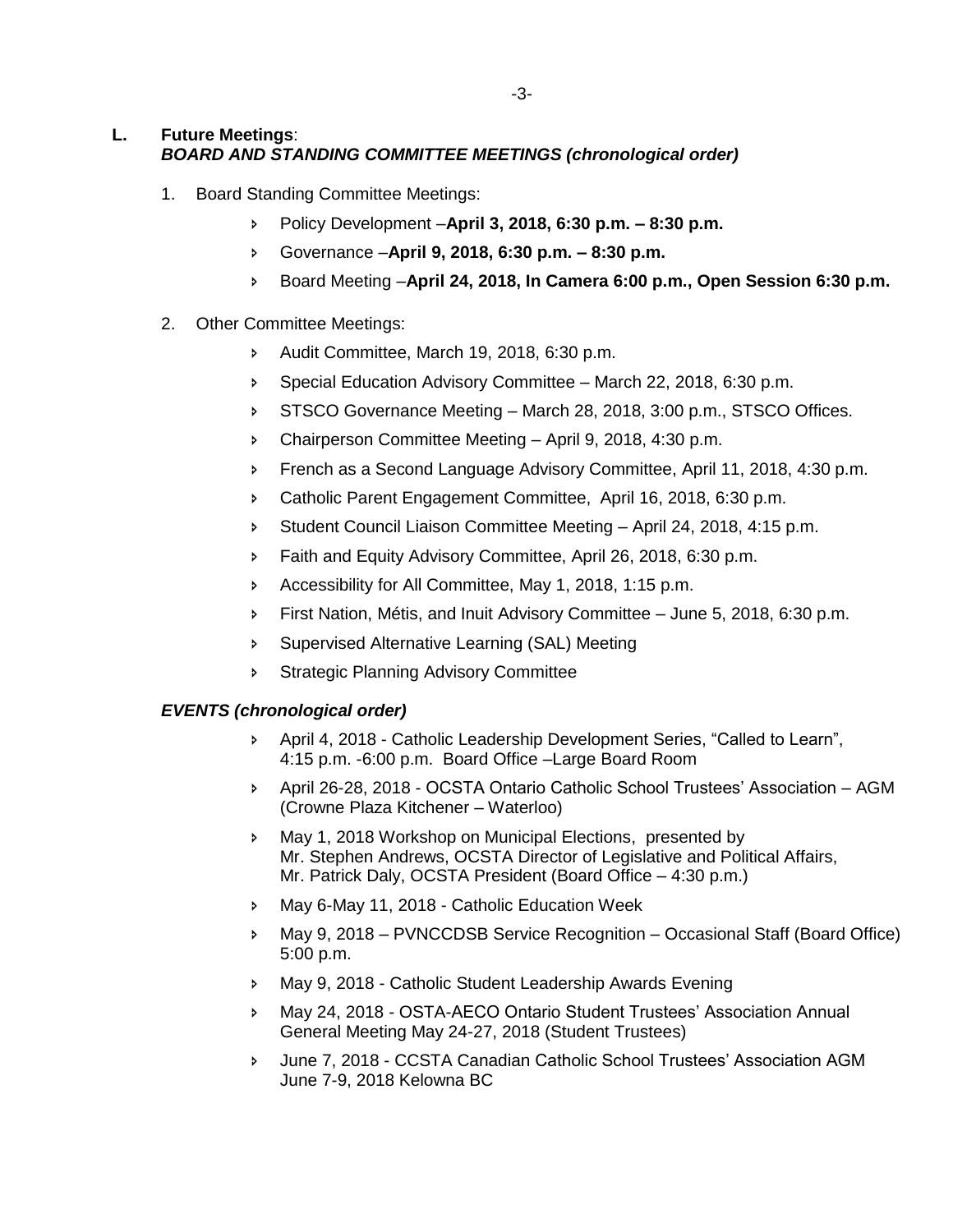#### **L. Future Meetings**: *BOARD AND STANDING COMMITTEE MEETINGS (chronological order)*

- 1. Board Standing Committee Meetings:
	- Policy Development –**April 3, 2018, 6:30 p.m. – 8:30 p.m.**
	- Governance –**April 9, 2018, 6:30 p.m. – 8:30 p.m.**
	- Board Meeting –**April 24, 2018, In Camera 6:00 p.m., Open Session 6:30 p.m.**
- 2. Other Committee Meetings:
	- Audit Committee, March 19, 2018, 6:30 p.m.
	- Special Education Advisory Committee March 22, 2018, 6:30 p.m.
	- STSCO Governance Meeting March 28, 2018, 3:00 p.m., STSCO Offices.
	- Chairperson Committee Meeting April 9, 2018, 4:30 p.m.
	- **French as a Second Language Advisory Committee, April 11, 2018, 4:30 p.m.**
	- Catholic Parent Engagement Committee, April 16, 2018, 6:30 p.m.
	- Student Council Liaison Committee Meeting April 24, 2018, 4:15 p.m.
	- **Faith and Equity Advisory Committee, April 26, 2018, 6:30 p.m.**
	- Accessibility for All Committee, May 1, 2018, 1:15 p.m.
	- First Nation, Métis, and Inuit Advisory Committee June 5, 2018, 6:30 p.m.
	- Supervised Alternative Learning (SAL) Meeting
	- **Strategic Planning Advisory Committee**

#### *EVENTS (chronological order)*

- April 4, 2018 Catholic Leadership Development Series, "Called to Learn", 4:15 p.m. -6:00 p.m. Board Office –Large Board Room
- April 26-28, 2018 OCSTA Ontario Catholic School Trustees' Association AGM (Crowne Plaza Kitchener – Waterloo)
- May 1, 2018 Workshop on Municipal Elections, presented by Mr. Stephen Andrews, OCSTA Director of Legislative and Political Affairs, Mr. Patrick Daly, OCSTA President (Board Office – 4:30 p.m.)
- May 6-May 11, 2018 Catholic Education Week
- May 9, 2018 PVNCCDSB Service Recognition Occasional Staff (Board Office) 5:00 p.m.
- May 9, 2018 Catholic Student Leadership Awards Evening
- May 24, 2018 OSTA-AECO Ontario Student Trustees' Association Annual General Meeting May 24-27, 2018 (Student Trustees)
- June 7, 2018 CCSTA Canadian Catholic School Trustees' Association AGM June 7-9, 2018 Kelowna BC